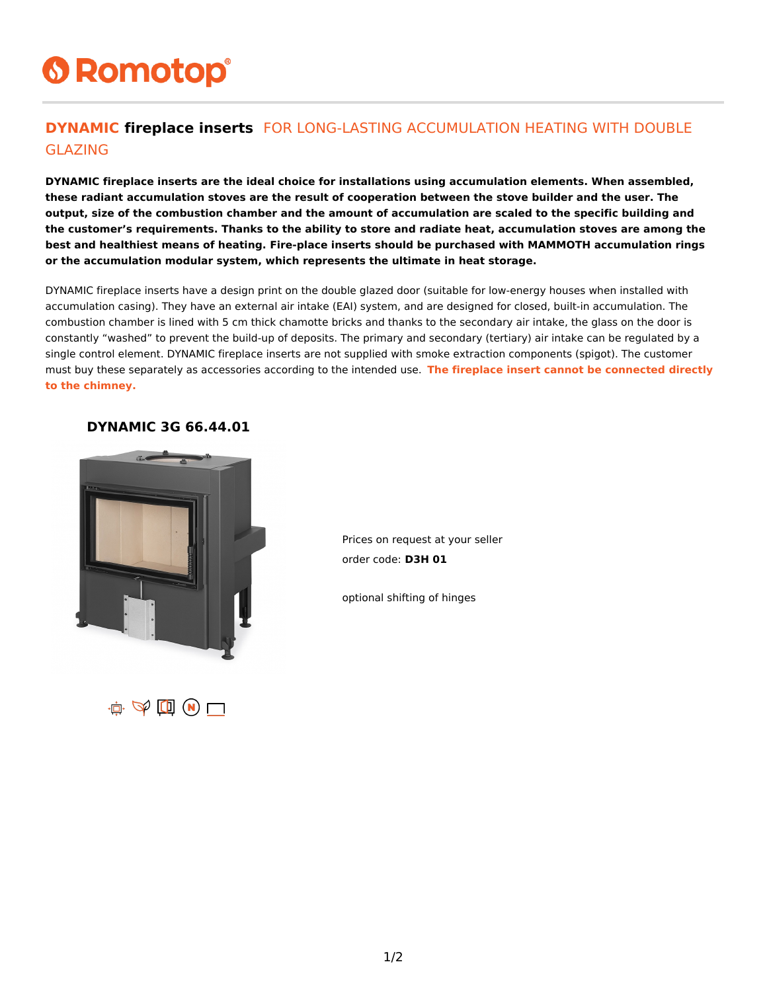# **6 Romotop®**

### **DYNAMIC fireplace inserts** FOR LONG-LASTING ACCUMULATION HEATING WITH DOUBLE GLAZING

**DYNAMIC fireplace inserts are the ideal choice for installations using accumulation elements. When assembled, these radiant accumulation stoves are the result of cooperation between the stove builder and the user. The output, size of the combustion chamber and the amount of accumulation are scaled to the specific building and the customer's requirements. Thanks to the ability to store and radiate heat, accumulation stoves are among the best and healthiest means of heating. Fire-place inserts should be purchased with MAMMOTH accumulation rings or the accumulation modular system, which represents the ultimate in heat storage.**

DYNAMIC fireplace inserts have a design print on the double glazed door (suitable for low-energy houses when installed with accumulation casing). They have an external air intake (EAI) system, and are designed for closed, built-in accumulation. The combustion chamber is lined with 5 cm thick chamotte bricks and thanks to the secondary air intake, the glass on the door is constantly "washed" to prevent the build-up of deposits. The primary and secondary (tertiary) air intake can be regulated by a single control element. DYNAMIC fireplace inserts are not supplied with smoke extraction components (spigot). The customer must buy these separately as accessories according to the intended use. **The fireplace insert cannot be connected directly to the chimney.**

#### **DYNAMIC 3G 66.44.01**



Prices on request at your seller order code: **D3H 01**

optional shifting of hinges

 $\mathbf{u} \in \mathbf{X} \text{ and } \mathbf{u} \in \mathbf{X} \text{ and } \mathbf{u} \in \mathbf{X} \text{ and } \mathbf{u} \in \mathbf{X} \text{ and } \mathbf{u} \in \mathbf{X} \text{ and } \mathbf{u} \in \mathbf{X} \text{ and } \mathbf{u} \in \mathbf{X} \text{ and } \mathbf{u} \in \mathbf{X} \text{ and } \mathbf{u} \in \mathbf{X} \text{ and } \mathbf{u} \in \mathbf{X} \text{ and } \mathbf{u} \in \mathbf{X} \text{ and } \mathbf{u} \in \mathbf$